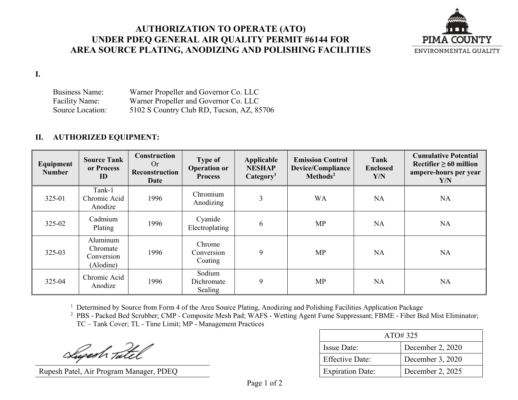## **AUTHORIZATION TO OPERATE (ATO) UNDER PDEQ GENERAL AIR QUALITY PERMIT #6144 FOR AREA SOURCE PLATING, ANODIZING AND POLISHING FACILITIES**



**I.**

Business Name: Warner Propeller and Governor Co. LLC Facility Name: Warner Propeller and Governor Co. LLC Source Location: 5102 S Country Club RD, Tucson, AZ, 85706

## **II. AUTHORIZED EQUIPMENT:**

| Equipment<br><b>Number</b> | <b>Source Tank</b><br>or Process<br>ID          | Construction<br>Or<br>Reconstruction<br><b>Date</b> | <b>Type of</b><br><b>Operation or</b><br><b>Process</b> | Applicable<br><b>NESHAP</b><br>Categorical <sub>1</sub> | <b>Emission Control</b><br><b>Device/Compliance</b><br>Methods <sup>2</sup> | Tank<br><b>Enclosed</b><br>Y/N | <b>Cumulative Potential</b><br>Rectifier $\geq 60$ million<br>ampere-hours per year<br>Y/N |
|----------------------------|-------------------------------------------------|-----------------------------------------------------|---------------------------------------------------------|---------------------------------------------------------|-----------------------------------------------------------------------------|--------------------------------|--------------------------------------------------------------------------------------------|
| 325-01                     | Tank-1<br>Chromic Acid<br>Anodize               | 1996                                                | Chromium<br>Anodizing                                   | 3                                                       | <b>WA</b>                                                                   | <b>NA</b>                      | <b>NA</b>                                                                                  |
| 325-02                     | Cadmium<br>Plating                              | 1996                                                | Cyanide<br>Electroplating                               | 6                                                       | <b>MP</b>                                                                   | <b>NA</b>                      | <b>NA</b>                                                                                  |
| 325-03                     | Aluminum<br>Chromate<br>Conversion<br>(Alodine) | 1996                                                | Chrome<br>Conversion<br>Coating                         | 9                                                       | <b>MP</b>                                                                   | <b>NA</b>                      | <b>NA</b>                                                                                  |
| 325-04                     | Chromic Acid<br>Anodize                         | 1996                                                | Sodium<br>Dichromate<br>Sealing                         | 9                                                       | MP                                                                          | <b>NA</b>                      | <b>NA</b>                                                                                  |

<sup>1</sup> Determined by Source from Form 4 of the Area Source Plating, Anodizing and Polishing Facilities Application Package

<sup>2</sup> PBS - Packed Bed Scrubber; CMP - Composite Mesh Pad; WAFS - Wetting Agent Fume Suppressant; FBME - Fiber Bed Mist Eliminator; TC – Tank Cover; TL - Time Limit; MP - Management Practices

Lugesh Tatel

Rupesh Patel, Air Program Manager, PDEQ

| ATO#325                 |                  |  |
|-------------------------|------------------|--|
| Issue Date:             | December 2, 2020 |  |
| <b>Effective Date:</b>  | December 3, 2020 |  |
| <b>Expiration Date:</b> | December 2, 2025 |  |